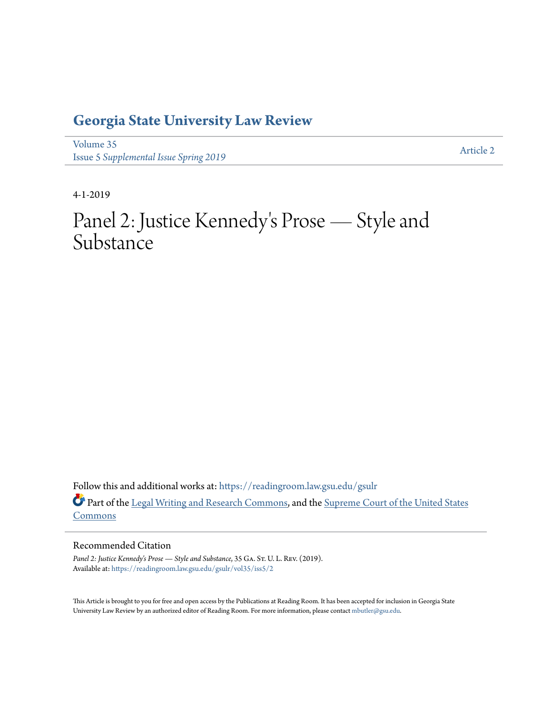# **[Georgia State University Law Review](https://readingroom.law.gsu.edu/gsulr?utm_source=readingroom.law.gsu.edu%2Fgsulr%2Fvol35%2Fiss5%2F2&utm_medium=PDF&utm_campaign=PDFCoverPages)**

[Volume 35](https://readingroom.law.gsu.edu/gsulr/vol35?utm_source=readingroom.law.gsu.edu%2Fgsulr%2Fvol35%2Fiss5%2F2&utm_medium=PDF&utm_campaign=PDFCoverPages) **Issue 5** *[Supplemental Issue Spring 2019](https://readingroom.law.gsu.edu/gsulr/vol35/iss5?utm_source=readingroom.law.gsu.edu%2Fgsulr%2Fvol35%2Fiss5%2F2&utm_medium=PDF&utm_campaign=PDFCoverPages)* [Article 2](https://readingroom.law.gsu.edu/gsulr/vol35/iss5/2?utm_source=readingroom.law.gsu.edu%2Fgsulr%2Fvol35%2Fiss5%2F2&utm_medium=PDF&utm_campaign=PDFCoverPages)

4-1-2019

# Panel 2: Justice Kennedy 's Prose — Style and Substance

Follow this and additional works at: [https://readingroom.law.gsu.edu/gsulr](https://readingroom.law.gsu.edu/gsulr?utm_source=readingroom.law.gsu.edu%2Fgsulr%2Fvol35%2Fiss5%2F2&utm_medium=PDF&utm_campaign=PDFCoverPages) Part of the [Legal Writing and Research Commons](http://network.bepress.com/hgg/discipline/614?utm_source=readingroom.law.gsu.edu%2Fgsulr%2Fvol35%2Fiss5%2F2&utm_medium=PDF&utm_campaign=PDFCoverPages), and the [Supreme Court of the United States](http://network.bepress.com/hgg/discipline/1350?utm_source=readingroom.law.gsu.edu%2Fgsulr%2Fvol35%2Fiss5%2F2&utm_medium=PDF&utm_campaign=PDFCoverPages) [Commons](http://network.bepress.com/hgg/discipline/1350?utm_source=readingroom.law.gsu.edu%2Fgsulr%2Fvol35%2Fiss5%2F2&utm_medium=PDF&utm_campaign=PDFCoverPages)

# Recommended Citation

Panel 2: Justice Kennedy's Prose - Style and Substance, 35 GA. ST. U. L. REV. (2019). Available at: [https://readingroom.law.gsu.edu/gsulr/vol35/iss5/2](https://readingroom.law.gsu.edu/gsulr/vol35/iss5/2?utm_source=readingroom.law.gsu.edu%2Fgsulr%2Fvol35%2Fiss5%2F2&utm_medium=PDF&utm_campaign=PDFCoverPages)

This Article is brought to you for free and open access by the Publications at Reading Room. It has been accepted for inclusion in Georgia State University Law Review by an authorized editor of Reading Room. For more information, please contact [mbutler@gsu.edu.](mailto:mbutler@gsu.edu)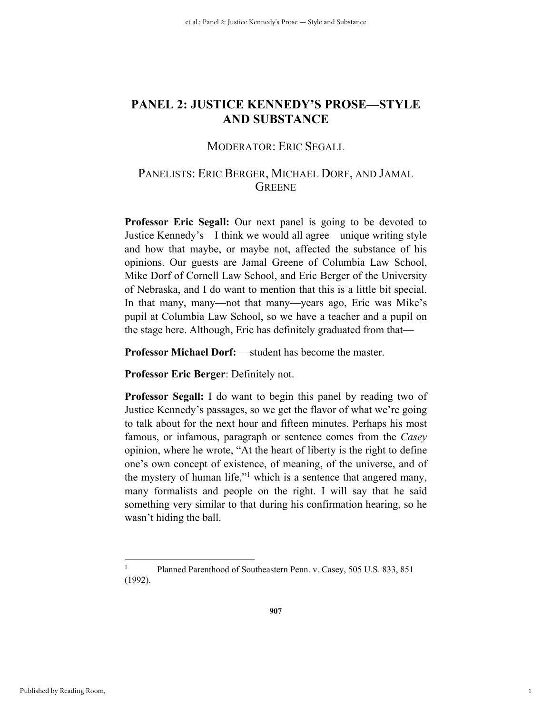# **PANEL 2: JUSTICE KENNEDY'S PROSE—STYLE AND SUBSTANCE**

# MODERATOR: ERIC SEGALL

# PANELISTS: ERIC BERGER, MICHAEL DORF, AND JAMAL **GREENE**

**Professor Eric Segall:** Our next panel is going to be devoted to Justice Kennedy's—I think we would all agree—unique writing style and how that maybe, or maybe not, affected the substance of his opinions. Our guests are Jamal Greene of Columbia Law School, Mike Dorf of Cornell Law School, and Eric Berger of the University of Nebraska, and I do want to mention that this is a little bit special. In that many, many—not that many—years ago, Eric was Mike's pupil at Columbia Law School, so we have a teacher and a pupil on the stage here. Although, Eric has definitely graduated from that—

**Professor Michael Dorf:** —student has become the master.

**Professor Eric Berger**: Definitely not.

**Professor Segall:** I do want to begin this panel by reading two of Justice Kennedy's passages, so we get the flavor of what we're going to talk about for the next hour and fifteen minutes. Perhaps his most famous, or infamous, paragraph or sentence comes from the *Casey* opinion, where he wrote, "At the heart of liberty is the right to define one's own concept of existence, of meaning, of the universe, and of the mystery of human life,"<sup>1</sup> which is a sentence that angered many, many formalists and people on the right. I will say that he said something very similar to that during his confirmation hearing, so he wasn't hiding the ball.

1

<u>.</u>

<sup>1</sup> Planned Parenthood of Southeastern Penn. v. Casey, 505 U.S. 833, 851 (1992).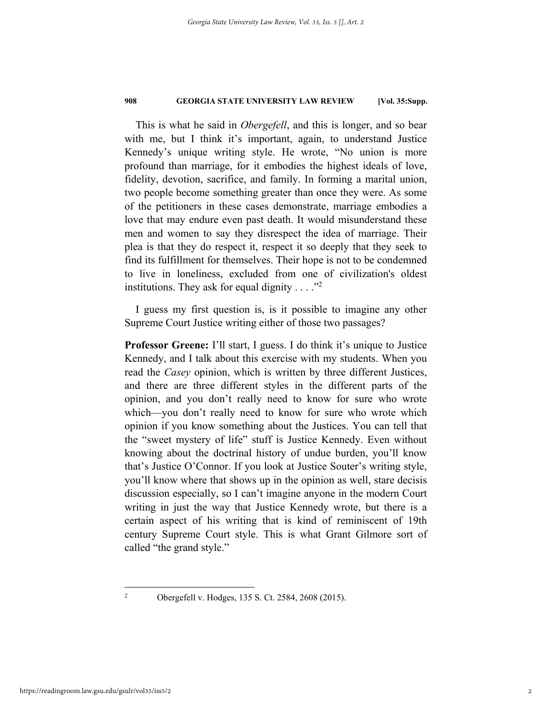This is what he said in *Obergefell*, and this is longer, and so bear with me, but I think it's important, again, to understand Justice Kennedy's unique writing style. He wrote, "No union is more profound than marriage, for it embodies the highest ideals of love, fidelity, devotion, sacrifice, and family. In forming a marital union, two people become something greater than once they were. As some of the petitioners in these cases demonstrate, marriage embodies a love that may endure even past death. It would misunderstand these men and women to say they disrespect the idea of marriage. Their plea is that they do respect it, respect it so deeply that they seek to find its fulfillment for themselves. Their hope is not to be condemned to live in loneliness, excluded from one of civilization's oldest institutions. They ask for equal dignity  $\dots$ ."<sup>2</sup>

I guess my first question is, is it possible to imagine any other Supreme Court Justice writing either of those two passages?

**Professor Greene:** I'll start, I guess. I do think it's unique to Justice Kennedy, and I talk about this exercise with my students. When you read the *Casey* opinion, which is written by three different Justices, and there are three different styles in the different parts of the opinion, and you don't really need to know for sure who wrote which—you don't really need to know for sure who wrote which opinion if you know something about the Justices. You can tell that the "sweet mystery of life" stuff is Justice Kennedy. Even without knowing about the doctrinal history of undue burden, you'll know that's Justice O'Connor. If you look at Justice Souter's writing style, you'll know where that shows up in the opinion as well, stare decisis discussion especially, so I can't imagine anyone in the modern Court writing in just the way that Justice Kennedy wrote, but there is a certain aspect of his writing that is kind of reminiscent of 19th century Supreme Court style. This is what Grant Gilmore sort of called "the grand style."

1  $\overline{2}$ 

Obergefell v. Hodges, 135 S. Ct. 2584, 2608 (2015).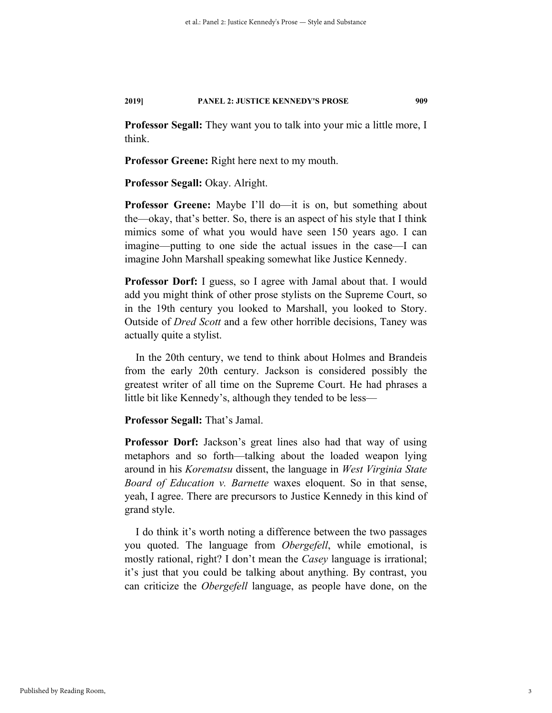**Professor Segall:** They want you to talk into your mic a little more, I think.

**Professor Greene:** Right here next to my mouth.

**Professor Segall:** Okay. Alright.

**Professor Greene:** Maybe I'll do—it is on, but something about the—okay, that's better. So, there is an aspect of his style that I think mimics some of what you would have seen 150 years ago. I can imagine—putting to one side the actual issues in the case—I can imagine John Marshall speaking somewhat like Justice Kennedy.

**Professor Dorf:** I guess, so I agree with Jamal about that. I would add you might think of other prose stylists on the Supreme Court, so in the 19th century you looked to Marshall, you looked to Story. Outside of *Dred Scott* and a few other horrible decisions, Taney was actually quite a stylist.

In the 20th century, we tend to think about Holmes and Brandeis from the early 20th century. Jackson is considered possibly the greatest writer of all time on the Supreme Court. He had phrases a little bit like Kennedy's, although they tended to be less—

**Professor Segall:** That's Jamal.

**Professor Dorf:** Jackson's great lines also had that way of using metaphors and so forth—talking about the loaded weapon lying around in his *Korematsu* dissent, the language in *West Virginia State Board of Education v. Barnette* waxes eloquent. So in that sense, yeah, I agree. There are precursors to Justice Kennedy in this kind of grand style.

I do think it's worth noting a difference between the two passages you quoted. The language from *Obergefell*, while emotional, is mostly rational, right? I don't mean the *Casey* language is irrational; it's just that you could be talking about anything. By contrast, you can criticize the *Obergefell* language, as people have done, on the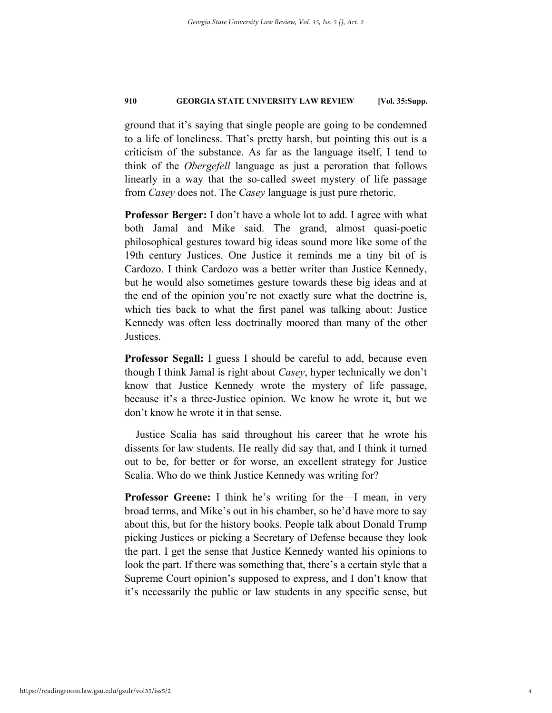ground that it's saying that single people are going to be condemned to a life of loneliness. That's pretty harsh, but pointing this out is a criticism of the substance. As far as the language itself, I tend to think of the *Obergefell* language as just a peroration that follows linearly in a way that the so-called sweet mystery of life passage from *Casey* does not. The *Casey* language is just pure rhetoric.

**Professor Berger:** I don't have a whole lot to add. I agree with what both Jamal and Mike said. The grand, almost quasi-poetic philosophical gestures toward big ideas sound more like some of the 19th century Justices. One Justice it reminds me a tiny bit of is Cardozo. I think Cardozo was a better writer than Justice Kennedy, but he would also sometimes gesture towards these big ideas and at the end of the opinion you're not exactly sure what the doctrine is, which ties back to what the first panel was talking about: Justice Kennedy was often less doctrinally moored than many of the other Justices.

**Professor Segall:** I guess I should be careful to add, because even though I think Jamal is right about *Casey*, hyper technically we don't know that Justice Kennedy wrote the mystery of life passage, because it's a three-Justice opinion. We know he wrote it, but we don't know he wrote it in that sense.

Justice Scalia has said throughout his career that he wrote his dissents for law students. He really did say that, and I think it turned out to be, for better or for worse, an excellent strategy for Justice Scalia. Who do we think Justice Kennedy was writing for?

**Professor Greene:** I think he's writing for the—I mean, in very broad terms, and Mike's out in his chamber, so he'd have more to say about this, but for the history books. People talk about Donald Trump picking Justices or picking a Secretary of Defense because they look the part. I get the sense that Justice Kennedy wanted his opinions to look the part. If there was something that, there's a certain style that a Supreme Court opinion's supposed to express, and I don't know that it's necessarily the public or law students in any specific sense, but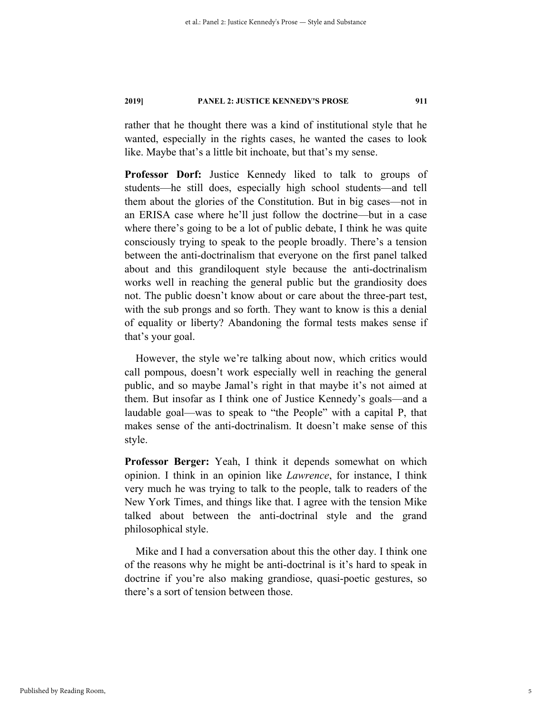rather that he thought there was a kind of institutional style that he wanted, especially in the rights cases, he wanted the cases to look like. Maybe that's a little bit inchoate, but that's my sense.

**Professor Dorf:** Justice Kennedy liked to talk to groups of students—he still does, especially high school students—and tell them about the glories of the Constitution. But in big cases—not in an ERISA case where he'll just follow the doctrine—but in a case where there's going to be a lot of public debate, I think he was quite consciously trying to speak to the people broadly. There's a tension between the anti-doctrinalism that everyone on the first panel talked about and this grandiloquent style because the anti-doctrinalism works well in reaching the general public but the grandiosity does not. The public doesn't know about or care about the three-part test, with the sub prongs and so forth. They want to know is this a denial of equality or liberty? Abandoning the formal tests makes sense if that's your goal.

However, the style we're talking about now, which critics would call pompous, doesn't work especially well in reaching the general public, and so maybe Jamal's right in that maybe it's not aimed at them. But insofar as I think one of Justice Kennedy's goals—and a laudable goal—was to speak to "the People" with a capital P, that makes sense of the anti-doctrinalism. It doesn't make sense of this style.

**Professor Berger:** Yeah, I think it depends somewhat on which opinion. I think in an opinion like *Lawrence*, for instance, I think very much he was trying to talk to the people, talk to readers of the New York Times, and things like that. I agree with the tension Mike talked about between the anti-doctrinal style and the grand philosophical style.

Mike and I had a conversation about this the other day. I think one of the reasons why he might be anti-doctrinal is it's hard to speak in doctrine if you're also making grandiose, quasi-poetic gestures, so there's a sort of tension between those.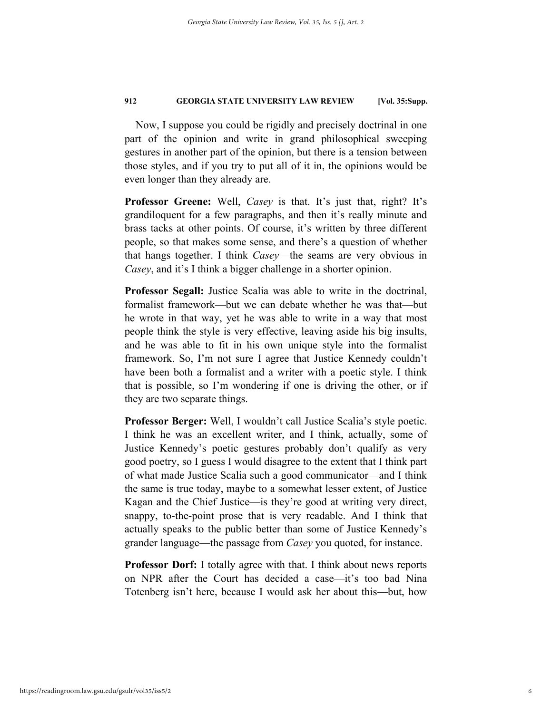Now, I suppose you could be rigidly and precisely doctrinal in one part of the opinion and write in grand philosophical sweeping gestures in another part of the opinion, but there is a tension between those styles, and if you try to put all of it in, the opinions would be even longer than they already are.

**Professor Greene:** Well, *Casey* is that. It's just that, right? It's grandiloquent for a few paragraphs, and then it's really minute and brass tacks at other points. Of course, it's written by three different people, so that makes some sense, and there's a question of whether that hangs together. I think *Casey*—the seams are very obvious in *Casey*, and it's I think a bigger challenge in a shorter opinion.

**Professor Segall:** Justice Scalia was able to write in the doctrinal, formalist framework—but we can debate whether he was that—but he wrote in that way, yet he was able to write in a way that most people think the style is very effective, leaving aside his big insults, and he was able to fit in his own unique style into the formalist framework. So, I'm not sure I agree that Justice Kennedy couldn't have been both a formalist and a writer with a poetic style. I think that is possible, so I'm wondering if one is driving the other, or if they are two separate things.

**Professor Berger:** Well, I wouldn't call Justice Scalia's style poetic. I think he was an excellent writer, and I think, actually, some of Justice Kennedy's poetic gestures probably don't qualify as very good poetry, so I guess I would disagree to the extent that I think part of what made Justice Scalia such a good communicator—and I think the same is true today, maybe to a somewhat lesser extent, of Justice Kagan and the Chief Justice—is they're good at writing very direct, snappy, to-the-point prose that is very readable. And I think that actually speaks to the public better than some of Justice Kennedy's grander language—the passage from *Casey* you quoted, for instance.

**Professor Dorf:** I totally agree with that. I think about news reports on NPR after the Court has decided a case—it's too bad Nina Totenberg isn't here, because I would ask her about this—but, how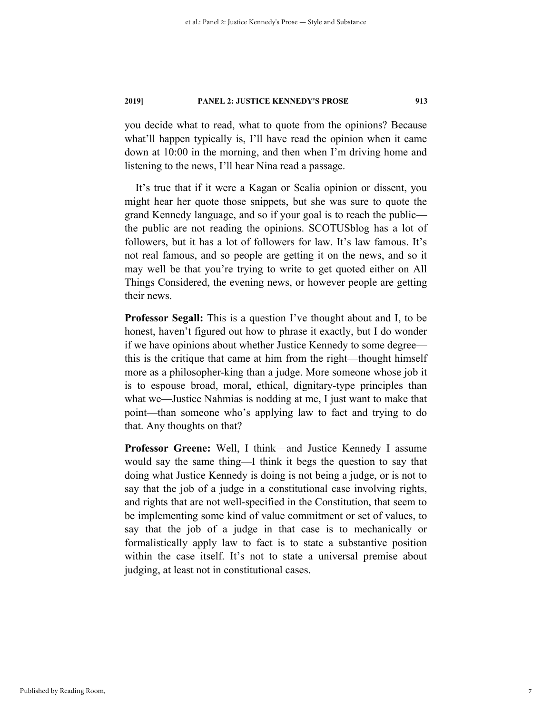you decide what to read, what to quote from the opinions? Because what'll happen typically is, I'll have read the opinion when it came down at 10:00 in the morning, and then when I'm driving home and listening to the news, I'll hear Nina read a passage.

It's true that if it were a Kagan or Scalia opinion or dissent, you might hear her quote those snippets, but she was sure to quote the grand Kennedy language, and so if your goal is to reach the public the public are not reading the opinions. SCOTUSblog has a lot of followers, but it has a lot of followers for law. It's law famous. It's not real famous, and so people are getting it on the news, and so it may well be that you're trying to write to get quoted either on All Things Considered, the evening news, or however people are getting their news.

**Professor Segall:** This is a question I've thought about and I, to be honest, haven't figured out how to phrase it exactly, but I do wonder if we have opinions about whether Justice Kennedy to some degree this is the critique that came at him from the right—thought himself more as a philosopher-king than a judge. More someone whose job it is to espouse broad, moral, ethical, dignitary-type principles than what we—Justice Nahmias is nodding at me, I just want to make that point—than someone who's applying law to fact and trying to do that. Any thoughts on that?

**Professor Greene:** Well, I think—and Justice Kennedy I assume would say the same thing—I think it begs the question to say that doing what Justice Kennedy is doing is not being a judge, or is not to say that the job of a judge in a constitutional case involving rights, and rights that are not well-specified in the Constitution, that seem to be implementing some kind of value commitment or set of values, to say that the job of a judge in that case is to mechanically or formalistically apply law to fact is to state a substantive position within the case itself. It's not to state a universal premise about judging, at least not in constitutional cases.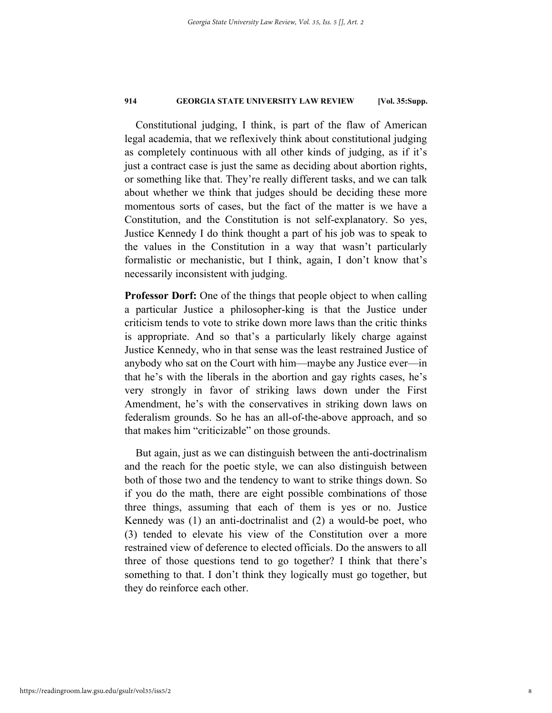Constitutional judging, I think, is part of the flaw of American legal academia, that we reflexively think about constitutional judging as completely continuous with all other kinds of judging, as if it's just a contract case is just the same as deciding about abortion rights, or something like that. They're really different tasks, and we can talk about whether we think that judges should be deciding these more momentous sorts of cases, but the fact of the matter is we have a Constitution, and the Constitution is not self-explanatory. So yes, Justice Kennedy I do think thought a part of his job was to speak to the values in the Constitution in a way that wasn't particularly formalistic or mechanistic, but I think, again, I don't know that's necessarily inconsistent with judging.

**Professor Dorf:** One of the things that people object to when calling a particular Justice a philosopher-king is that the Justice under criticism tends to vote to strike down more laws than the critic thinks is appropriate. And so that's a particularly likely charge against Justice Kennedy, who in that sense was the least restrained Justice of anybody who sat on the Court with him—maybe any Justice ever—in that he's with the liberals in the abortion and gay rights cases, he's very strongly in favor of striking laws down under the First Amendment, he's with the conservatives in striking down laws on federalism grounds. So he has an all-of-the-above approach, and so that makes him "criticizable" on those grounds.

But again, just as we can distinguish between the anti-doctrinalism and the reach for the poetic style, we can also distinguish between both of those two and the tendency to want to strike things down. So if you do the math, there are eight possible combinations of those three things, assuming that each of them is yes or no. Justice Kennedy was (1) an anti-doctrinalist and (2) a would-be poet, who (3) tended to elevate his view of the Constitution over a more restrained view of deference to elected officials. Do the answers to all three of those questions tend to go together? I think that there's something to that. I don't think they logically must go together, but they do reinforce each other.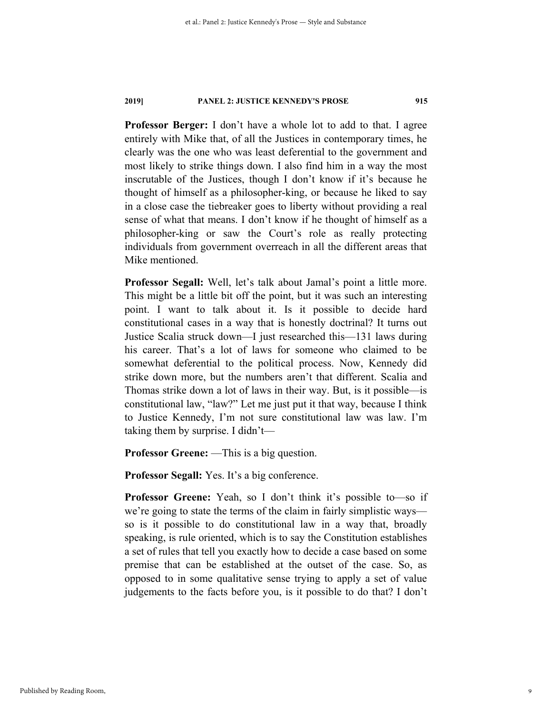**Professor Berger:** I don't have a whole lot to add to that. I agree entirely with Mike that, of all the Justices in contemporary times, he clearly was the one who was least deferential to the government and most likely to strike things down. I also find him in a way the most inscrutable of the Justices, though I don't know if it's because he thought of himself as a philosopher-king, or because he liked to say in a close case the tiebreaker goes to liberty without providing a real sense of what that means. I don't know if he thought of himself as a philosopher-king or saw the Court's role as really protecting individuals from government overreach in all the different areas that Mike mentioned.

**Professor Segall:** Well, let's talk about Jamal's point a little more. This might be a little bit off the point, but it was such an interesting point. I want to talk about it. Is it possible to decide hard constitutional cases in a way that is honestly doctrinal? It turns out Justice Scalia struck down—I just researched this—131 laws during his career. That's a lot of laws for someone who claimed to be somewhat deferential to the political process. Now, Kennedy did strike down more, but the numbers aren't that different. Scalia and Thomas strike down a lot of laws in their way. But, is it possible—is constitutional law, "law?" Let me just put it that way, because I think to Justice Kennedy, I'm not sure constitutional law was law. I'm taking them by surprise. I didn't—

**Professor Greene:** —This is a big question.

**Professor Segall:** Yes. It's a big conference.

**Professor Greene:** Yeah, so I don't think it's possible to—so if we're going to state the terms of the claim in fairly simplistic ways so is it possible to do constitutional law in a way that, broadly speaking, is rule oriented, which is to say the Constitution establishes a set of rules that tell you exactly how to decide a case based on some premise that can be established at the outset of the case. So, as opposed to in some qualitative sense trying to apply a set of value judgements to the facts before you, is it possible to do that? I don't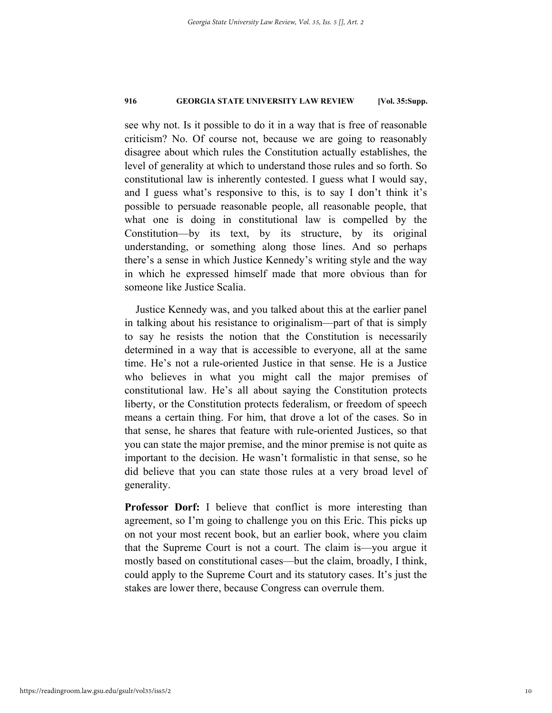see why not. Is it possible to do it in a way that is free of reasonable criticism? No. Of course not, because we are going to reasonably disagree about which rules the Constitution actually establishes, the level of generality at which to understand those rules and so forth. So constitutional law is inherently contested. I guess what I would say, and I guess what's responsive to this, is to say I don't think it's possible to persuade reasonable people, all reasonable people, that what one is doing in constitutional law is compelled by the Constitution—by its text, by its structure, by its original understanding, or something along those lines. And so perhaps there's a sense in which Justice Kennedy's writing style and the way in which he expressed himself made that more obvious than for someone like Justice Scalia.

Justice Kennedy was, and you talked about this at the earlier panel in talking about his resistance to originalism—part of that is simply to say he resists the notion that the Constitution is necessarily determined in a way that is accessible to everyone, all at the same time. He's not a rule-oriented Justice in that sense. He is a Justice who believes in what you might call the major premises of constitutional law. He's all about saying the Constitution protects liberty, or the Constitution protects federalism, or freedom of speech means a certain thing. For him, that drove a lot of the cases. So in that sense, he shares that feature with rule-oriented Justices, so that you can state the major premise, and the minor premise is not quite as important to the decision. He wasn't formalistic in that sense, so he did believe that you can state those rules at a very broad level of generality.

**Professor Dorf:** I believe that conflict is more interesting than agreement, so I'm going to challenge you on this Eric. This picks up on not your most recent book, but an earlier book, where you claim that the Supreme Court is not a court. The claim is—you argue it mostly based on constitutional cases—but the claim, broadly, I think, could apply to the Supreme Court and its statutory cases. It's just the stakes are lower there, because Congress can overrule them.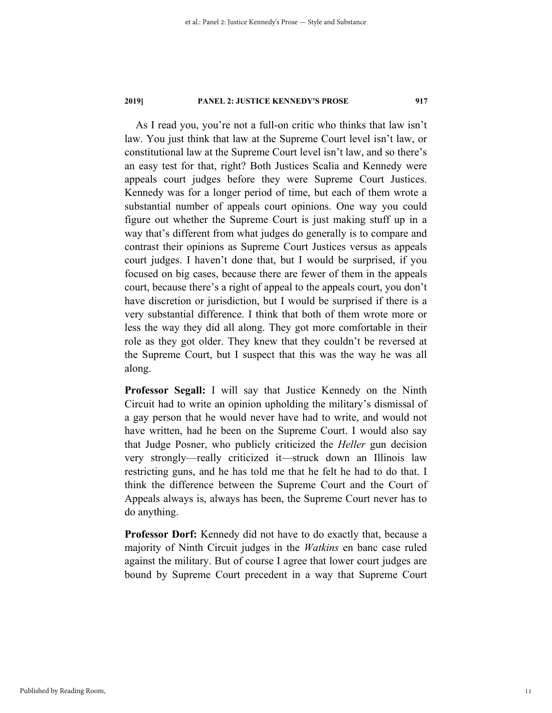As I read you, you're not a full-on critic who thinks that law isn't law. You just think that law at the Supreme Court level isn't law, or constitutional law at the Supreme Court level isn't law, and so there's an easy test for that, right? Both Justices Scalia and Kennedy were appeals court judges before they were Supreme Court Justices. Kennedy was for a longer period of time, but each of them wrote a substantial number of appeals court opinions. One way you could figure out whether the Supreme Court is just making stuff up in a way that's different from what judges do generally is to compare and contrast their opinions as Supreme Court Justices versus as appeals court judges. I haven't done that, but I would be surprised, if you focused on big cases, because there are fewer of them in the appeals court, because there's a right of appeal to the appeals court, you don't have discretion or jurisdiction, but I would be surprised if there is a very substantial difference. I think that both of them wrote more or less the way they did all along. They got more comfortable in their role as they got older. They knew that they couldn't be reversed at the Supreme Court, but I suspect that this was the way he was all along.

**Professor Segall:** I will say that Justice Kennedy on the Ninth Circuit had to write an opinion upholding the military's dismissal of a gay person that he would never have had to write, and would not have written, had he been on the Supreme Court. I would also say that Judge Posner, who publicly criticized the *Heller* gun decision very strongly—really criticized it—struck down an Illinois law restricting guns, and he has told me that he felt he had to do that. I think the difference between the Supreme Court and the Court of Appeals always is, always has been, the Supreme Court never has to do anything.

**Professor Dorf:** Kennedy did not have to do exactly that, because a majority of Ninth Circuit judges in the *Watkins* en banc case ruled against the military. But of course I agree that lower court judges are bound by Supreme Court precedent in a way that Supreme Court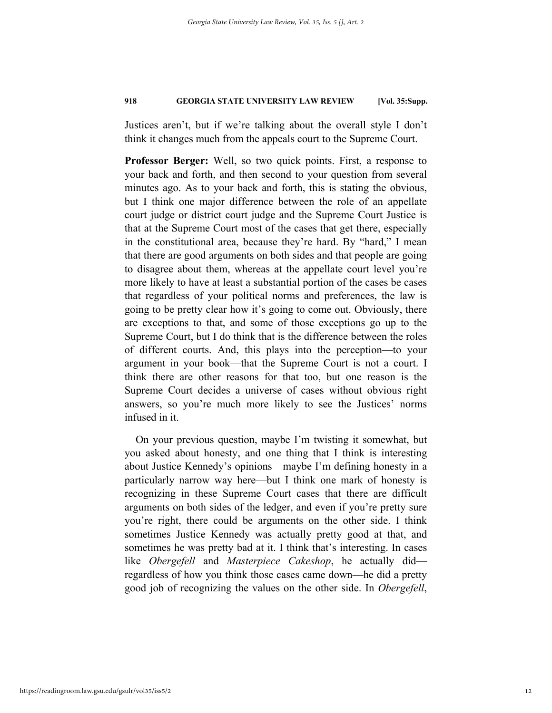Justices aren't, but if we're talking about the overall style I don't think it changes much from the appeals court to the Supreme Court.

**Professor Berger:** Well, so two quick points. First, a response to your back and forth, and then second to your question from several minutes ago. As to your back and forth, this is stating the obvious, but I think one major difference between the role of an appellate court judge or district court judge and the Supreme Court Justice is that at the Supreme Court most of the cases that get there, especially in the constitutional area, because they're hard. By "hard," I mean that there are good arguments on both sides and that people are going to disagree about them, whereas at the appellate court level you're more likely to have at least a substantial portion of the cases be cases that regardless of your political norms and preferences, the law is going to be pretty clear how it's going to come out. Obviously, there are exceptions to that, and some of those exceptions go up to the Supreme Court, but I do think that is the difference between the roles of different courts. And, this plays into the perception—to your argument in your book—that the Supreme Court is not a court. I think there are other reasons for that too, but one reason is the Supreme Court decides a universe of cases without obvious right answers, so you're much more likely to see the Justices' norms infused in it.

On your previous question, maybe I'm twisting it somewhat, but you asked about honesty, and one thing that I think is interesting about Justice Kennedy's opinions—maybe I'm defining honesty in a particularly narrow way here—but I think one mark of honesty is recognizing in these Supreme Court cases that there are difficult arguments on both sides of the ledger, and even if you're pretty sure you're right, there could be arguments on the other side. I think sometimes Justice Kennedy was actually pretty good at that, and sometimes he was pretty bad at it. I think that's interesting. In cases like *Obergefell* and *Masterpiece Cakeshop*, he actually did regardless of how you think those cases came down—he did a pretty good job of recognizing the values on the other side. In *Obergefell*,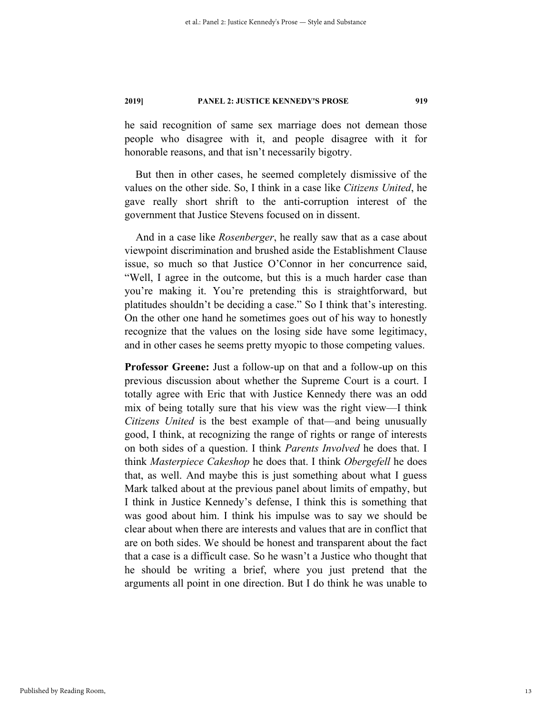he said recognition of same sex marriage does not demean those people who disagree with it, and people disagree with it for honorable reasons, and that isn't necessarily bigotry.

But then in other cases, he seemed completely dismissive of the values on the other side. So, I think in a case like *Citizens United*, he gave really short shrift to the anti-corruption interest of the government that Justice Stevens focused on in dissent.

And in a case like *Rosenberger*, he really saw that as a case about viewpoint discrimination and brushed aside the Establishment Clause issue, so much so that Justice O'Connor in her concurrence said, "Well, I agree in the outcome, but this is a much harder case than you're making it. You're pretending this is straightforward, but platitudes shouldn't be deciding a case." So I think that's interesting. On the other one hand he sometimes goes out of his way to honestly recognize that the values on the losing side have some legitimacy, and in other cases he seems pretty myopic to those competing values.

**Professor Greene:** Just a follow-up on that and a follow-up on this previous discussion about whether the Supreme Court is a court. I totally agree with Eric that with Justice Kennedy there was an odd mix of being totally sure that his view was the right view—I think *Citizens United* is the best example of that—and being unusually good, I think, at recognizing the range of rights or range of interests on both sides of a question. I think *Parents Involved* he does that. I think *Masterpiece Cakeshop* he does that. I think *Obergefell* he does that, as well. And maybe this is just something about what I guess Mark talked about at the previous panel about limits of empathy, but I think in Justice Kennedy's defense, I think this is something that was good about him. I think his impulse was to say we should be clear about when there are interests and values that are in conflict that are on both sides. We should be honest and transparent about the fact that a case is a difficult case. So he wasn't a Justice who thought that he should be writing a brief, where you just pretend that the arguments all point in one direction. But I do think he was unable to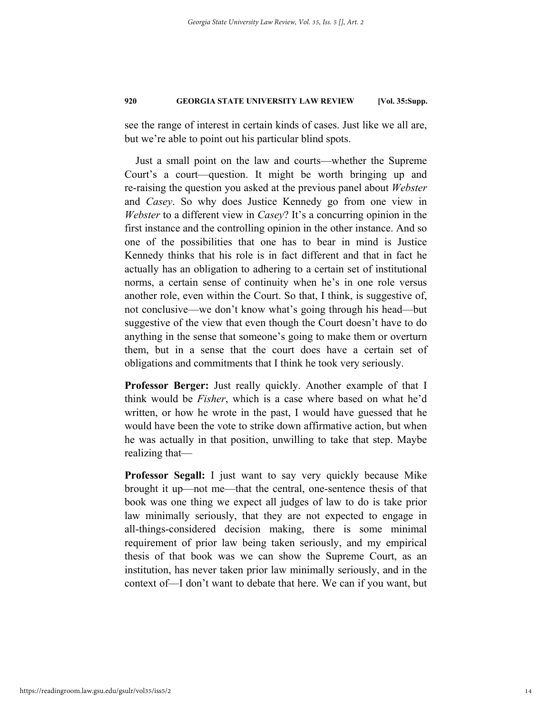see the range of interest in certain kinds of cases. Just like we all are, but we're able to point out his particular blind spots.

Just a small point on the law and courts—whether the Supreme Court's a court—question. It might be worth bringing up and re-raising the question you asked at the previous panel about *Webster* and *Casey*. So why does Justice Kennedy go from one view in *Webster* to a different view in *Casey*? It's a concurring opinion in the first instance and the controlling opinion in the other instance. And so one of the possibilities that one has to bear in mind is Justice Kennedy thinks that his role is in fact different and that in fact he actually has an obligation to adhering to a certain set of institutional norms, a certain sense of continuity when he's in one role versus another role, even within the Court. So that, I think, is suggestive of, not conclusive—we don't know what's going through his head—but suggestive of the view that even though the Court doesn't have to do anything in the sense that someone's going to make them or overturn them, but in a sense that the court does have a certain set of obligations and commitments that I think he took very seriously.

**Professor Berger:** Just really quickly. Another example of that I think would be *Fisher*, which is a case where based on what he'd written, or how he wrote in the past, I would have guessed that he would have been the vote to strike down affirmative action, but when he was actually in that position, unwilling to take that step. Maybe realizing that—

**Professor Segall:** I just want to say very quickly because Mike brought it up—not me—that the central, one-sentence thesis of that book was one thing we expect all judges of law to do is take prior law minimally seriously, that they are not expected to engage in all-things-considered decision making, there is some minimal requirement of prior law being taken seriously, and my empirical thesis of that book was we can show the Supreme Court, as an institution, has never taken prior law minimally seriously, and in the context of—I don't want to debate that here. We can if you want, but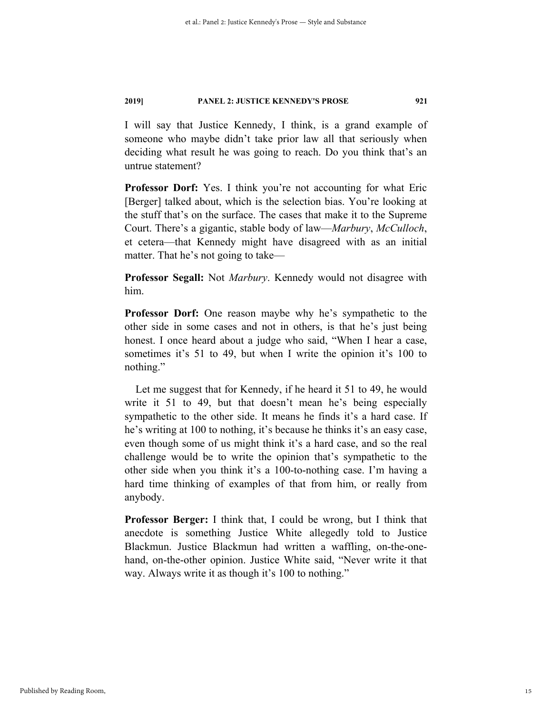I will say that Justice Kennedy, I think, is a grand example of someone who maybe didn't take prior law all that seriously when deciding what result he was going to reach. Do you think that's an untrue statement?

Professor Dorf: Yes. I think you're not accounting for what Eric [Berger] talked about, which is the selection bias. You're looking at the stuff that's on the surface. The cases that make it to the Supreme Court. There's a gigantic, stable body of law—*Marbury*, *McCulloch*, et cetera—that Kennedy might have disagreed with as an initial matter. That he's not going to take—

**Professor Segall:** Not *Marbury*. Kennedy would not disagree with him.

**Professor Dorf:** One reason maybe why he's sympathetic to the other side in some cases and not in others, is that he's just being honest. I once heard about a judge who said, "When I hear a case, sometimes it's 51 to 49, but when I write the opinion it's 100 to nothing."

Let me suggest that for Kennedy, if he heard it 51 to 49, he would write it 51 to 49, but that doesn't mean he's being especially sympathetic to the other side. It means he finds it's a hard case. If he's writing at 100 to nothing, it's because he thinks it's an easy case, even though some of us might think it's a hard case, and so the real challenge would be to write the opinion that's sympathetic to the other side when you think it's a 100-to-nothing case. I'm having a hard time thinking of examples of that from him, or really from anybody.

**Professor Berger:** I think that, I could be wrong, but I think that anecdote is something Justice White allegedly told to Justice Blackmun. Justice Blackmun had written a waffling, on-the-onehand, on-the-other opinion. Justice White said, "Never write it that way. Always write it as though it's 100 to nothing."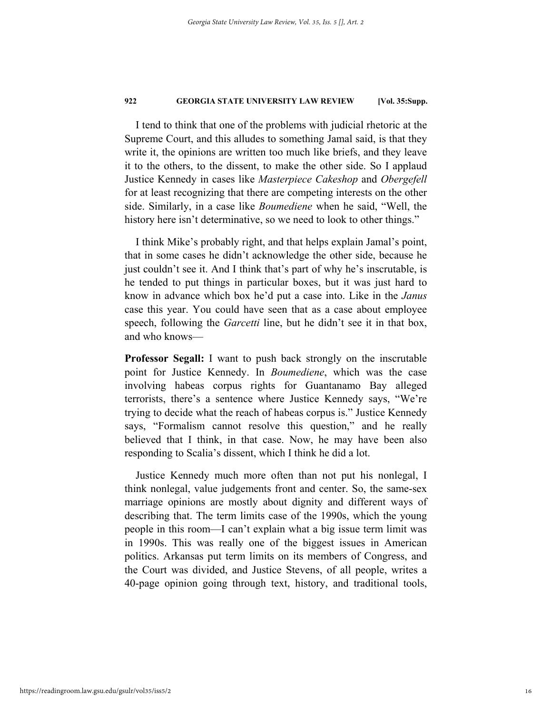I tend to think that one of the problems with judicial rhetoric at the Supreme Court, and this alludes to something Jamal said, is that they write it, the opinions are written too much like briefs, and they leave it to the others, to the dissent, to make the other side. So I applaud Justice Kennedy in cases like *Masterpiece Cakeshop* and *Obergefell* for at least recognizing that there are competing interests on the other side. Similarly, in a case like *Boumediene* when he said, "Well, the history here isn't determinative, so we need to look to other things."

I think Mike's probably right, and that helps explain Jamal's point, that in some cases he didn't acknowledge the other side, because he just couldn't see it. And I think that's part of why he's inscrutable, is he tended to put things in particular boxes, but it was just hard to know in advance which box he'd put a case into. Like in the *Janus* case this year. You could have seen that as a case about employee speech, following the *Garcetti* line, but he didn't see it in that box, and who knows—

**Professor Segall:** I want to push back strongly on the inscrutable point for Justice Kennedy. In *Boumediene*, which was the case involving habeas corpus rights for Guantanamo Bay alleged terrorists, there's a sentence where Justice Kennedy says, "We're trying to decide what the reach of habeas corpus is." Justice Kennedy says, "Formalism cannot resolve this question," and he really believed that I think, in that case. Now, he may have been also responding to Scalia's dissent, which I think he did a lot.

Justice Kennedy much more often than not put his nonlegal, I think nonlegal, value judgements front and center. So, the same-sex marriage opinions are mostly about dignity and different ways of describing that. The term limits case of the 1990s, which the young people in this room—I can't explain what a big issue term limit was in 1990s. This was really one of the biggest issues in American politics. Arkansas put term limits on its members of Congress, and the Court was divided, and Justice Stevens, of all people, writes a 40-page opinion going through text, history, and traditional tools,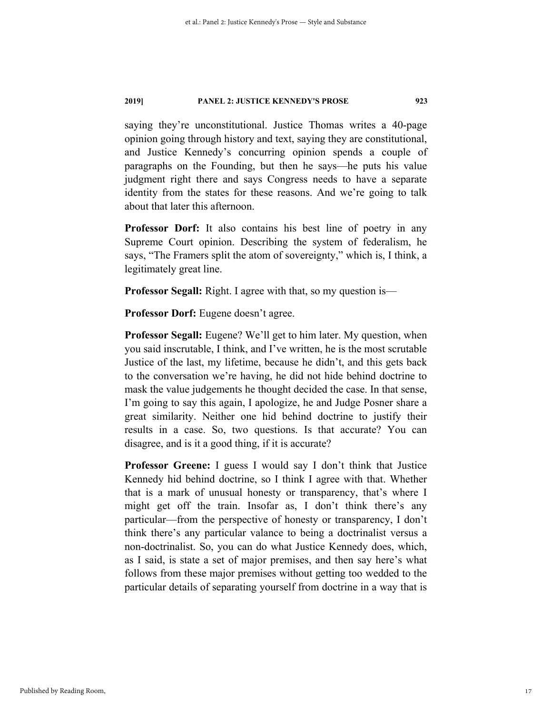saying they're unconstitutional. Justice Thomas writes a 40-page opinion going through history and text, saying they are constitutional, and Justice Kennedy's concurring opinion spends a couple of paragraphs on the Founding, but then he says—he puts his value judgment right there and says Congress needs to have a separate identity from the states for these reasons. And we're going to talk about that later this afternoon.

**Professor Dorf:** It also contains his best line of poetry in any Supreme Court opinion. Describing the system of federalism, he says, "The Framers split the atom of sovereignty," which is, I think, a legitimately great line.

**Professor Segall:** Right. I agree with that, so my question is—

**Professor Dorf:** Eugene doesn't agree.

**Professor Segall:** Eugene? We'll get to him later. My question, when you said inscrutable, I think, and I've written, he is the most scrutable Justice of the last, my lifetime, because he didn't, and this gets back to the conversation we're having, he did not hide behind doctrine to mask the value judgements he thought decided the case. In that sense, I'm going to say this again, I apologize, he and Judge Posner share a great similarity. Neither one hid behind doctrine to justify their results in a case. So, two questions. Is that accurate? You can disagree, and is it a good thing, if it is accurate?

**Professor Greene:** I guess I would say I don't think that Justice Kennedy hid behind doctrine, so I think I agree with that. Whether that is a mark of unusual honesty or transparency, that's where I might get off the train. Insofar as, I don't think there's any particular—from the perspective of honesty or transparency, I don't think there's any particular valance to being a doctrinalist versus a non-doctrinalist. So, you can do what Justice Kennedy does, which, as I said, is state a set of major premises, and then say here's what follows from these major premises without getting too wedded to the particular details of separating yourself from doctrine in a way that is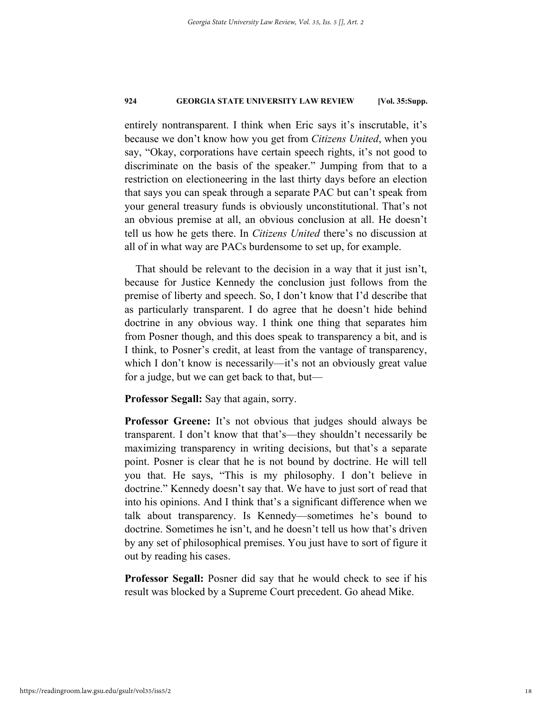entirely nontransparent. I think when Eric says it's inscrutable, it's because we don't know how you get from *Citizens United*, when you say, "Okay, corporations have certain speech rights, it's not good to discriminate on the basis of the speaker." Jumping from that to a restriction on electioneering in the last thirty days before an election that says you can speak through a separate PAC but can't speak from your general treasury funds is obviously unconstitutional. That's not an obvious premise at all, an obvious conclusion at all. He doesn't tell us how he gets there. In *Citizens United* there's no discussion at all of in what way are PACs burdensome to set up, for example.

That should be relevant to the decision in a way that it just isn't, because for Justice Kennedy the conclusion just follows from the premise of liberty and speech. So, I don't know that I'd describe that as particularly transparent. I do agree that he doesn't hide behind doctrine in any obvious way. I think one thing that separates him from Posner though, and this does speak to transparency a bit, and is I think, to Posner's credit, at least from the vantage of transparency, which I don't know is necessarily—it's not an obviously great value for a judge, but we can get back to that, but—

**Professor Segall:** Say that again, sorry.

**Professor Greene:** It's not obvious that judges should always be transparent. I don't know that that's—they shouldn't necessarily be maximizing transparency in writing decisions, but that's a separate point. Posner is clear that he is not bound by doctrine. He will tell you that. He says, "This is my philosophy. I don't believe in doctrine." Kennedy doesn't say that. We have to just sort of read that into his opinions. And I think that's a significant difference when we talk about transparency. Is Kennedy—sometimes he's bound to doctrine. Sometimes he isn't, and he doesn't tell us how that's driven by any set of philosophical premises. You just have to sort of figure it out by reading his cases.

**Professor Segall:** Posner did say that he would check to see if his result was blocked by a Supreme Court precedent. Go ahead Mike.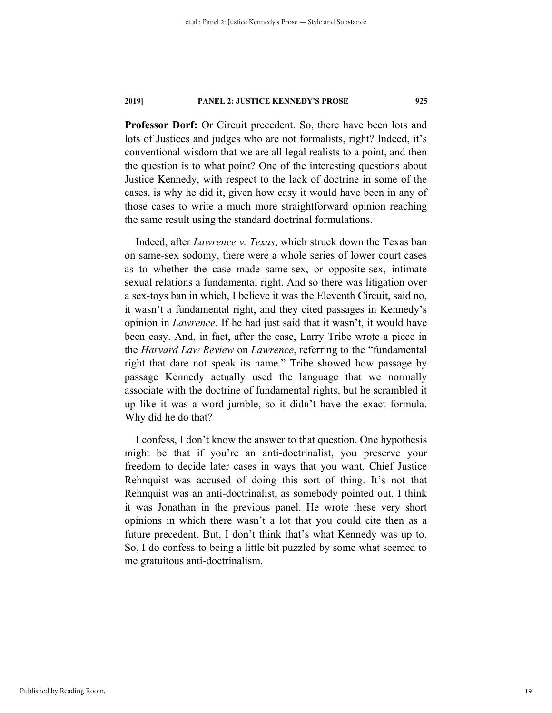**Professor Dorf:** Or Circuit precedent. So, there have been lots and lots of Justices and judges who are not formalists, right? Indeed, it's conventional wisdom that we are all legal realists to a point, and then the question is to what point? One of the interesting questions about Justice Kennedy, with respect to the lack of doctrine in some of the cases, is why he did it, given how easy it would have been in any of those cases to write a much more straightforward opinion reaching the same result using the standard doctrinal formulations.

Indeed, after *Lawrence v. Texas*, which struck down the Texas ban on same-sex sodomy, there were a whole series of lower court cases as to whether the case made same-sex, or opposite-sex, intimate sexual relations a fundamental right. And so there was litigation over a sex-toys ban in which, I believe it was the Eleventh Circuit, said no, it wasn't a fundamental right, and they cited passages in Kennedy's opinion in *Lawrence*. If he had just said that it wasn't, it would have been easy. And, in fact, after the case, Larry Tribe wrote a piece in the *Harvard Law Review* on *Lawrence*, referring to the "fundamental right that dare not speak its name." Tribe showed how passage by passage Kennedy actually used the language that we normally associate with the doctrine of fundamental rights, but he scrambled it up like it was a word jumble, so it didn't have the exact formula. Why did he do that?

I confess, I don't know the answer to that question. One hypothesis might be that if you're an anti-doctrinalist, you preserve your freedom to decide later cases in ways that you want. Chief Justice Rehnquist was accused of doing this sort of thing. It's not that Rehnquist was an anti-doctrinalist, as somebody pointed out. I think it was Jonathan in the previous panel. He wrote these very short opinions in which there wasn't a lot that you could cite then as a future precedent. But, I don't think that's what Kennedy was up to. So, I do confess to being a little bit puzzled by some what seemed to me gratuitous anti-doctrinalism.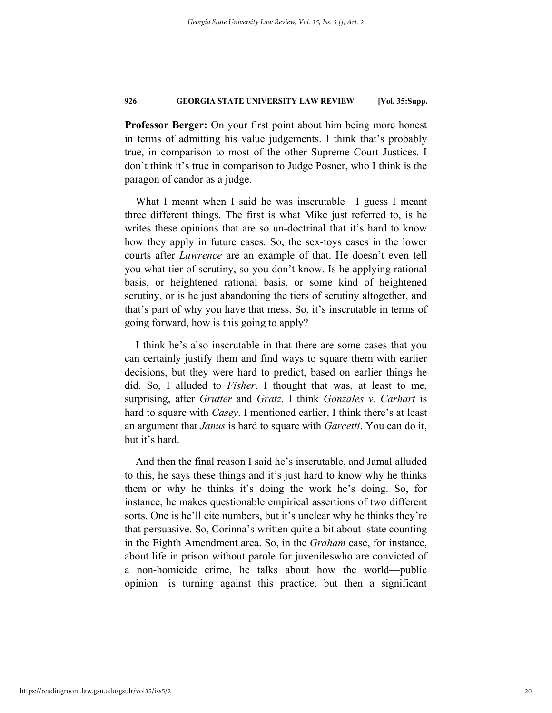**Professor Berger:** On your first point about him being more honest in terms of admitting his value judgements. I think that's probably true, in comparison to most of the other Supreme Court Justices. I don't think it's true in comparison to Judge Posner, who I think is the paragon of candor as a judge.

What I meant when I said he was inscrutable—I guess I meant three different things. The first is what Mike just referred to, is he writes these opinions that are so un-doctrinal that it's hard to know how they apply in future cases. So, the sex-toys cases in the lower courts after *Lawrence* are an example of that. He doesn't even tell you what tier of scrutiny, so you don't know. Is he applying rational basis, or heightened rational basis, or some kind of heightened scrutiny, or is he just abandoning the tiers of scrutiny altogether, and that's part of why you have that mess. So, it's inscrutable in terms of going forward, how is this going to apply?

I think he's also inscrutable in that there are some cases that you can certainly justify them and find ways to square them with earlier decisions, but they were hard to predict, based on earlier things he did. So, I alluded to *Fisher*. I thought that was, at least to me, surprising, after *Grutter* and *Gratz*. I think *Gonzales v. Carhart* is hard to square with *Casey*. I mentioned earlier, I think there's at least an argument that *Janus* is hard to square with *Garcetti*. You can do it, but it's hard.

And then the final reason I said he's inscrutable, and Jamal alluded to this, he says these things and it's just hard to know why he thinks them or why he thinks it's doing the work he's doing. So, for instance, he makes questionable empirical assertions of two different sorts. One is he'll cite numbers, but it's unclear why he thinks they're that persuasive. So, Corinna's written quite a bit about state counting in the Eighth Amendment area. So, in the *Graham* case, for instance, about life in prison without parole for juvenileswho are convicted of a non-homicide crime, he talks about how the world—public opinion—is turning against this practice, but then a significant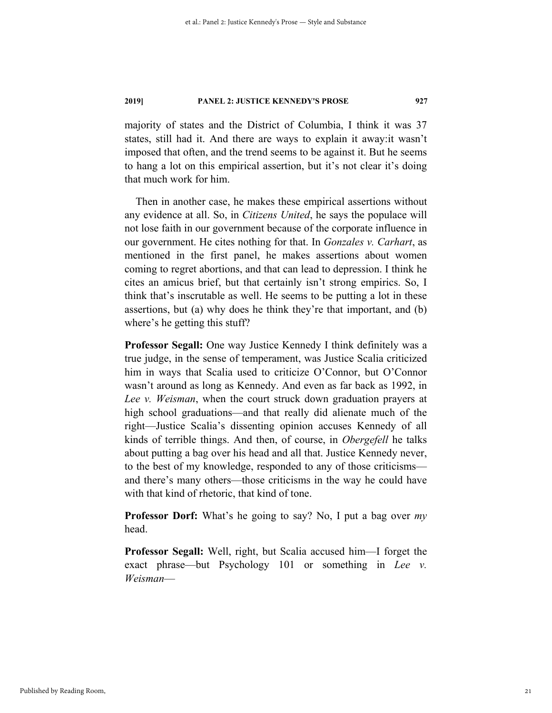majority of states and the District of Columbia, I think it was 37 states, still had it. And there are ways to explain it away:it wasn't imposed that often, and the trend seems to be against it. But he seems to hang a lot on this empirical assertion, but it's not clear it's doing that much work for him.

Then in another case, he makes these empirical assertions without any evidence at all. So, in *Citizens United*, he says the populace will not lose faith in our government because of the corporate influence in our government. He cites nothing for that. In *Gonzales v. Carhart*, as mentioned in the first panel, he makes assertions about women coming to regret abortions, and that can lead to depression. I think he cites an amicus brief, but that certainly isn't strong empirics. So, I think that's inscrutable as well. He seems to be putting a lot in these assertions, but (a) why does he think they're that important, and (b) where's he getting this stuff?

**Professor Segall:** One way Justice Kennedy I think definitely was a true judge, in the sense of temperament, was Justice Scalia criticized him in ways that Scalia used to criticize O'Connor, but O'Connor wasn't around as long as Kennedy. And even as far back as 1992, in *Lee v. Weisman*, when the court struck down graduation prayers at high school graduations—and that really did alienate much of the right—Justice Scalia's dissenting opinion accuses Kennedy of all kinds of terrible things. And then, of course, in *Obergefell* he talks about putting a bag over his head and all that. Justice Kennedy never, to the best of my knowledge, responded to any of those criticisms and there's many others—those criticisms in the way he could have with that kind of rhetoric, that kind of tone.

**Professor Dorf:** What's he going to say? No, I put a bag over *my* head.

**Professor Segall:** Well, right, but Scalia accused him—I forget the exact phrase—but Psychology 101 or something in *Lee v. Weisman*—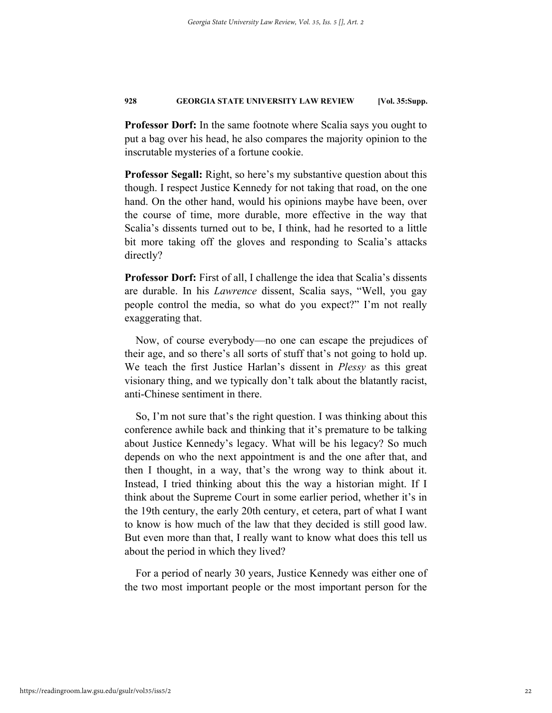**Professor Dorf:** In the same footnote where Scalia says you ought to put a bag over his head, he also compares the majority opinion to the inscrutable mysteries of a fortune cookie.

**Professor Segall:** Right, so here's my substantive question about this though. I respect Justice Kennedy for not taking that road, on the one hand. On the other hand, would his opinions maybe have been, over the course of time, more durable, more effective in the way that Scalia's dissents turned out to be, I think, had he resorted to a little bit more taking off the gloves and responding to Scalia's attacks directly?

**Professor Dorf:** First of all, I challenge the idea that Scalia's dissents are durable. In his *Lawrence* dissent, Scalia says, "Well, you gay people control the media, so what do you expect?" I'm not really exaggerating that.

Now, of course everybody—no one can escape the prejudices of their age, and so there's all sorts of stuff that's not going to hold up. We teach the first Justice Harlan's dissent in *Plessy* as this great visionary thing, and we typically don't talk about the blatantly racist, anti-Chinese sentiment in there.

So, I'm not sure that's the right question. I was thinking about this conference awhile back and thinking that it's premature to be talking about Justice Kennedy's legacy. What will be his legacy? So much depends on who the next appointment is and the one after that, and then I thought, in a way, that's the wrong way to think about it. Instead, I tried thinking about this the way a historian might. If I think about the Supreme Court in some earlier period, whether it's in the 19th century, the early 20th century, et cetera, part of what I want to know is how much of the law that they decided is still good law. But even more than that, I really want to know what does this tell us about the period in which they lived?

For a period of nearly 30 years, Justice Kennedy was either one of the two most important people or the most important person for the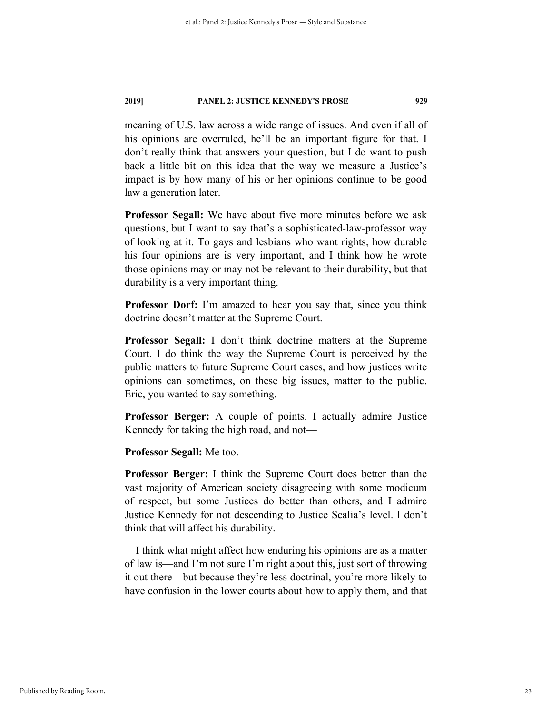meaning of U.S. law across a wide range of issues. And even if all of his opinions are overruled, he'll be an important figure for that. I don't really think that answers your question, but I do want to push back a little bit on this idea that the way we measure a Justice's impact is by how many of his or her opinions continue to be good law a generation later.

**Professor Segall:** We have about five more minutes before we ask questions, but I want to say that's a sophisticated-law-professor way of looking at it. To gays and lesbians who want rights, how durable his four opinions are is very important, and I think how he wrote those opinions may or may not be relevant to their durability, but that durability is a very important thing.

**Professor Dorf:** I'm amazed to hear you say that, since you think doctrine doesn't matter at the Supreme Court.

**Professor Segall:** I don't think doctrine matters at the Supreme Court. I do think the way the Supreme Court is perceived by the public matters to future Supreme Court cases, and how justices write opinions can sometimes, on these big issues, matter to the public. Eric, you wanted to say something.

**Professor Berger:** A couple of points. I actually admire Justice Kennedy for taking the high road, and not—

**Professor Segall:** Me too.

**Professor Berger:** I think the Supreme Court does better than the vast majority of American society disagreeing with some modicum of respect, but some Justices do better than others, and I admire Justice Kennedy for not descending to Justice Scalia's level. I don't think that will affect his durability.

I think what might affect how enduring his opinions are as a matter of law is—and I'm not sure I'm right about this, just sort of throwing it out there—but because they're less doctrinal, you're more likely to have confusion in the lower courts about how to apply them, and that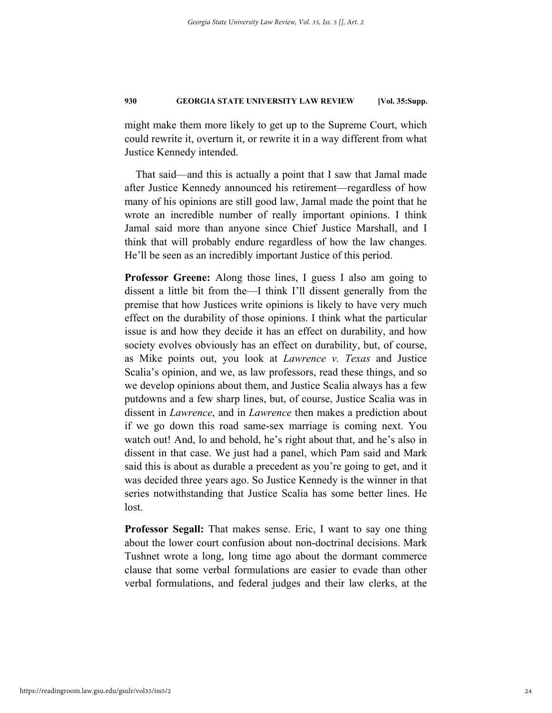might make them more likely to get up to the Supreme Court, which could rewrite it, overturn it, or rewrite it in a way different from what Justice Kennedy intended.

That said—and this is actually a point that I saw that Jamal made after Justice Kennedy announced his retirement—regardless of how many of his opinions are still good law, Jamal made the point that he wrote an incredible number of really important opinions. I think Jamal said more than anyone since Chief Justice Marshall, and I think that will probably endure regardless of how the law changes. He'll be seen as an incredibly important Justice of this period.

**Professor Greene:** Along those lines, I guess I also am going to dissent a little bit from the—I think I'll dissent generally from the premise that how Justices write opinions is likely to have very much effect on the durability of those opinions. I think what the particular issue is and how they decide it has an effect on durability, and how society evolves obviously has an effect on durability, but, of course, as Mike points out, you look at *Lawrence v. Texas* and Justice Scalia's opinion, and we, as law professors, read these things, and so we develop opinions about them, and Justice Scalia always has a few putdowns and a few sharp lines, but, of course, Justice Scalia was in dissent in *Lawrence*, and in *Lawrence* then makes a prediction about if we go down this road same-sex marriage is coming next. You watch out! And, lo and behold, he's right about that, and he's also in dissent in that case. We just had a panel, which Pam said and Mark said this is about as durable a precedent as you're going to get, and it was decided three years ago. So Justice Kennedy is the winner in that series notwithstanding that Justice Scalia has some better lines. He lost.

**Professor Segall:** That makes sense. Eric, I want to say one thing about the lower court confusion about non-doctrinal decisions. Mark Tushnet wrote a long, long time ago about the dormant commerce clause that some verbal formulations are easier to evade than other verbal formulations, and federal judges and their law clerks, at the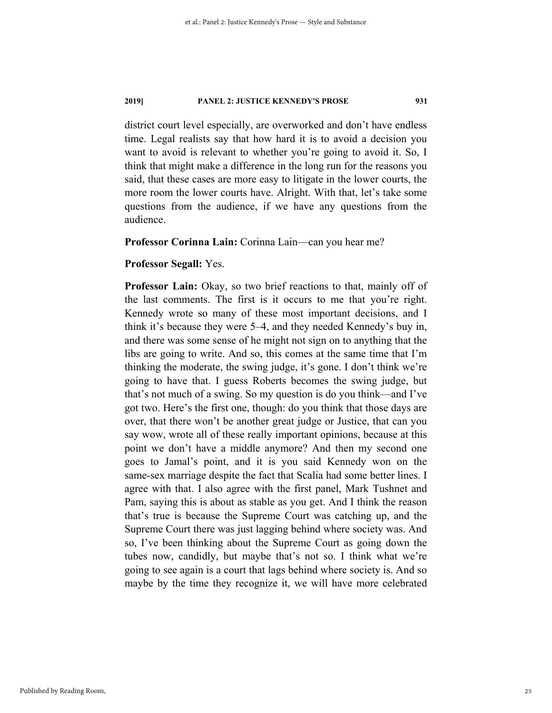district court level especially, are overworked and don't have endless time. Legal realists say that how hard it is to avoid a decision you want to avoid is relevant to whether you're going to avoid it. So, I think that might make a difference in the long run for the reasons you said, that these cases are more easy to litigate in the lower courts, the more room the lower courts have. Alright. With that, let's take some questions from the audience, if we have any questions from the audience.

#### **Professor Corinna Lain:** Corinna Lain—can you hear me?

#### **Professor Segall:** Yes.

**Professor Lain:** Okay, so two brief reactions to that, mainly off of the last comments. The first is it occurs to me that you're right. Kennedy wrote so many of these most important decisions, and I think it's because they were 5–4, and they needed Kennedy's buy in, and there was some sense of he might not sign on to anything that the libs are going to write. And so, this comes at the same time that I'm thinking the moderate, the swing judge, it's gone. I don't think we're going to have that. I guess Roberts becomes the swing judge, but that's not much of a swing. So my question is do you think—and I've got two. Here's the first one, though: do you think that those days are over, that there won't be another great judge or Justice, that can you say wow, wrote all of these really important opinions, because at this point we don't have a middle anymore? And then my second one goes to Jamal's point, and it is you said Kennedy won on the same-sex marriage despite the fact that Scalia had some better lines. I agree with that. I also agree with the first panel, Mark Tushnet and Pam, saying this is about as stable as you get. And I think the reason that's true is because the Supreme Court was catching up, and the Supreme Court there was just lagging behind where society was. And so, I've been thinking about the Supreme Court as going down the tubes now, candidly, but maybe that's not so. I think what we're going to see again is a court that lags behind where society is. And so maybe by the time they recognize it, we will have more celebrated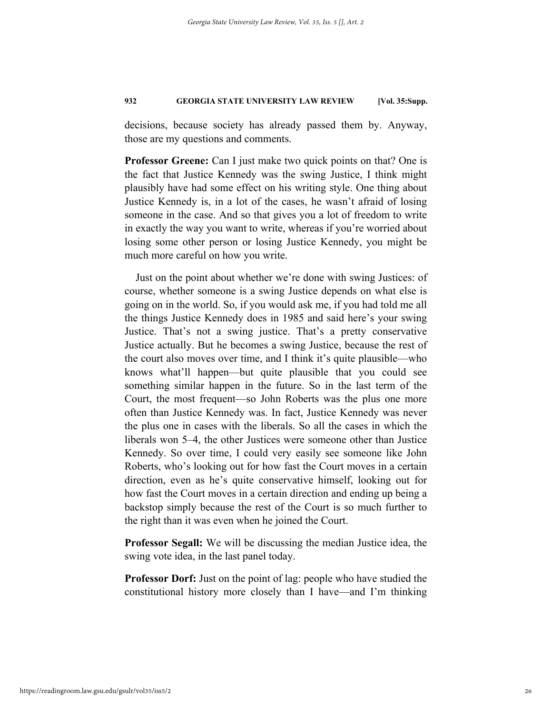decisions, because society has already passed them by. Anyway, those are my questions and comments.

**Professor Greene:** Can I just make two quick points on that? One is the fact that Justice Kennedy was the swing Justice, I think might plausibly have had some effect on his writing style. One thing about Justice Kennedy is, in a lot of the cases, he wasn't afraid of losing someone in the case. And so that gives you a lot of freedom to write in exactly the way you want to write, whereas if you're worried about losing some other person or losing Justice Kennedy, you might be much more careful on how you write.

Just on the point about whether we're done with swing Justices: of course, whether someone is a swing Justice depends on what else is going on in the world. So, if you would ask me, if you had told me all the things Justice Kennedy does in 1985 and said here's your swing Justice. That's not a swing justice. That's a pretty conservative Justice actually. But he becomes a swing Justice, because the rest of the court also moves over time, and I think it's quite plausible—who knows what'll happen—but quite plausible that you could see something similar happen in the future. So in the last term of the Court, the most frequent—so John Roberts was the plus one more often than Justice Kennedy was. In fact, Justice Kennedy was never the plus one in cases with the liberals. So all the cases in which the liberals won 5–4, the other Justices were someone other than Justice Kennedy. So over time, I could very easily see someone like John Roberts, who's looking out for how fast the Court moves in a certain direction, even as he's quite conservative himself, looking out for how fast the Court moves in a certain direction and ending up being a backstop simply because the rest of the Court is so much further to the right than it was even when he joined the Court.

**Professor Segall:** We will be discussing the median Justice idea, the swing vote idea, in the last panel today.

**Professor Dorf:** Just on the point of lag: people who have studied the constitutional history more closely than I have—and I'm thinking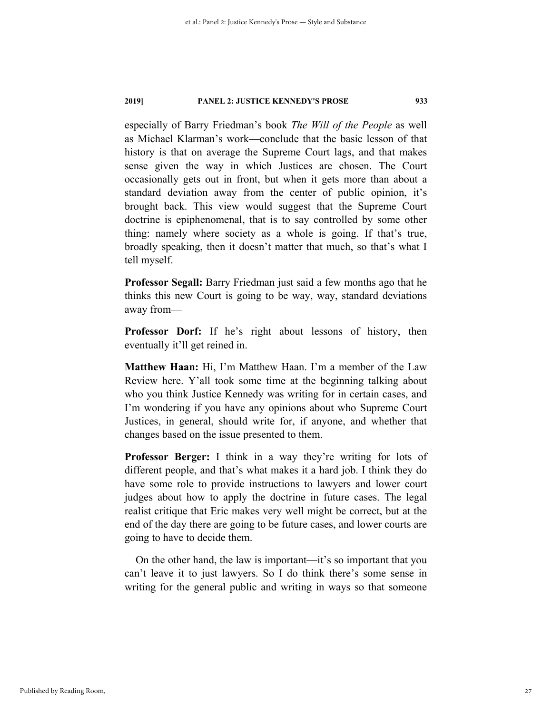especially of Barry Friedman's book *The Will of the People* as well as Michael Klarman's work—conclude that the basic lesson of that history is that on average the Supreme Court lags, and that makes sense given the way in which Justices are chosen. The Court occasionally gets out in front, but when it gets more than about a standard deviation away from the center of public opinion, it's brought back. This view would suggest that the Supreme Court doctrine is epiphenomenal, that is to say controlled by some other thing: namely where society as a whole is going. If that's true, broadly speaking, then it doesn't matter that much, so that's what I tell myself.

**Professor Segall:** Barry Friedman just said a few months ago that he thinks this new Court is going to be way, way, standard deviations away from—

**Professor Dorf:** If he's right about lessons of history, then eventually it'll get reined in.

**Matthew Haan:** Hi, I'm Matthew Haan. I'm a member of the Law Review here. Y'all took some time at the beginning talking about who you think Justice Kennedy was writing for in certain cases, and I'm wondering if you have any opinions about who Supreme Court Justices, in general, should write for, if anyone, and whether that changes based on the issue presented to them.

**Professor Berger:** I think in a way they're writing for lots of different people, and that's what makes it a hard job. I think they do have some role to provide instructions to lawyers and lower court judges about how to apply the doctrine in future cases. The legal realist critique that Eric makes very well might be correct, but at the end of the day there are going to be future cases, and lower courts are going to have to decide them.

On the other hand, the law is important—it's so important that you can't leave it to just lawyers. So I do think there's some sense in writing for the general public and writing in ways so that someone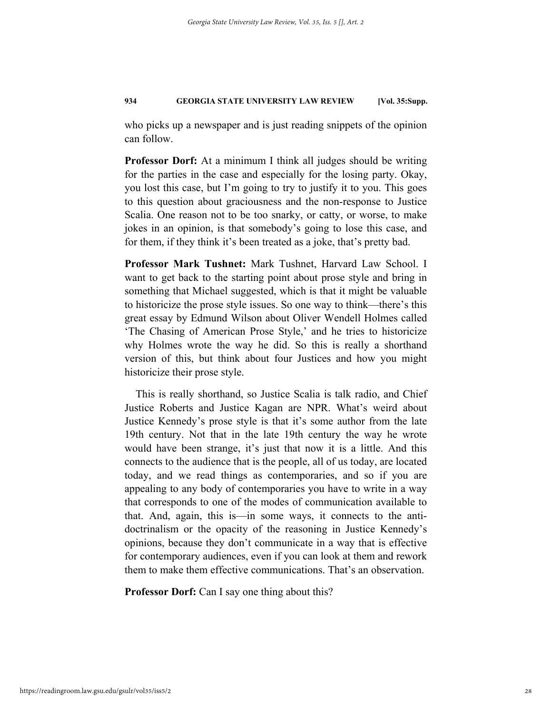who picks up a newspaper and is just reading snippets of the opinion can follow.

**Professor Dorf:** At a minimum I think all judges should be writing for the parties in the case and especially for the losing party. Okay, you lost this case, but I'm going to try to justify it to you. This goes to this question about graciousness and the non-response to Justice Scalia. One reason not to be too snarky, or catty, or worse, to make jokes in an opinion, is that somebody's going to lose this case, and for them, if they think it's been treated as a joke, that's pretty bad.

**Professor Mark Tushnet:** Mark Tushnet, Harvard Law School. I want to get back to the starting point about prose style and bring in something that Michael suggested, which is that it might be valuable to historicize the prose style issues. So one way to think—there's this great essay by Edmund Wilson about Oliver Wendell Holmes called 'The Chasing of American Prose Style,' and he tries to historicize why Holmes wrote the way he did. So this is really a shorthand version of this, but think about four Justices and how you might historicize their prose style.

This is really shorthand, so Justice Scalia is talk radio, and Chief Justice Roberts and Justice Kagan are NPR. What's weird about Justice Kennedy's prose style is that it's some author from the late 19th century. Not that in the late 19th century the way he wrote would have been strange, it's just that now it is a little. And this connects to the audience that is the people, all of us today, are located today, and we read things as contemporaries, and so if you are appealing to any body of contemporaries you have to write in a way that corresponds to one of the modes of communication available to that. And, again, this is—in some ways, it connects to the antidoctrinalism or the opacity of the reasoning in Justice Kennedy's opinions, because they don't communicate in a way that is effective for contemporary audiences, even if you can look at them and rework them to make them effective communications. That's an observation.

**Professor Dorf:** Can I say one thing about this?